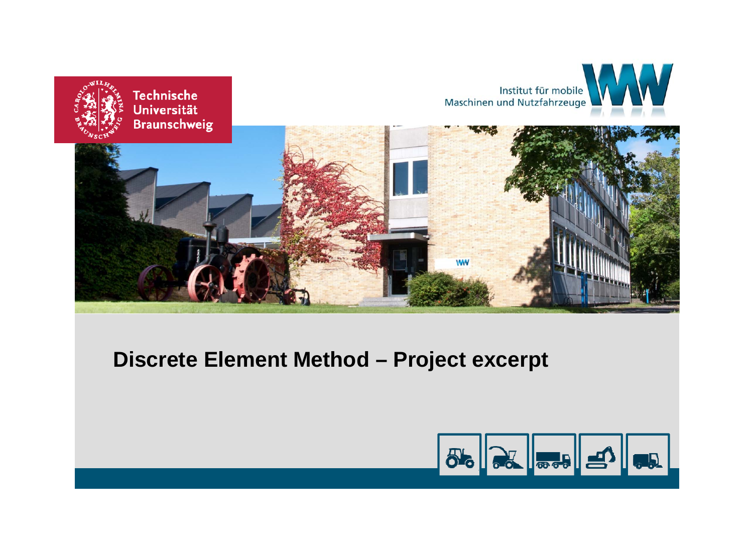

#### **Discrete Element Method – Project excerpt**

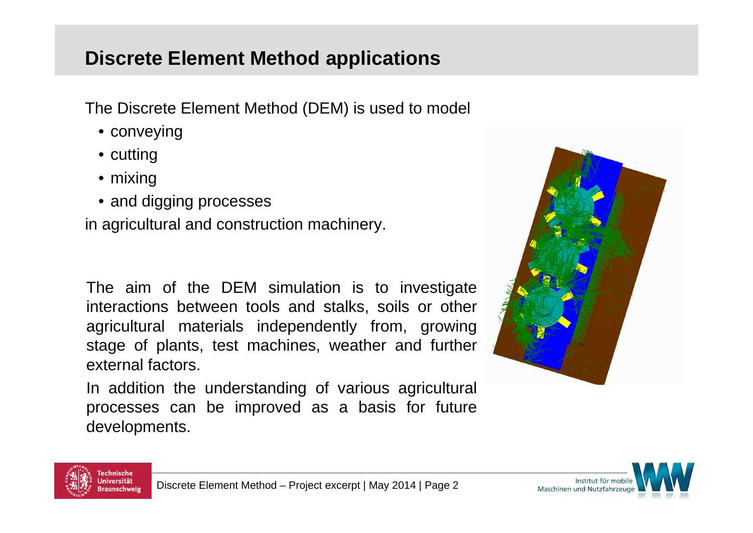#### **Discrete Element Method applications**

The Discrete Element Method (DEM) is used to model

- conveying
- cutting
- mixing
- and digging processes

in agricultural and construction machinery.

The aim of the DEM simulation is to investigate interactions between tools and stalks, soils or other agricultural materials independently from, growing stage of plants, test machines, weather and further external factors.

In addition the understanding of various agricultural processes can be improved as <sup>a</sup> basis for future developments.





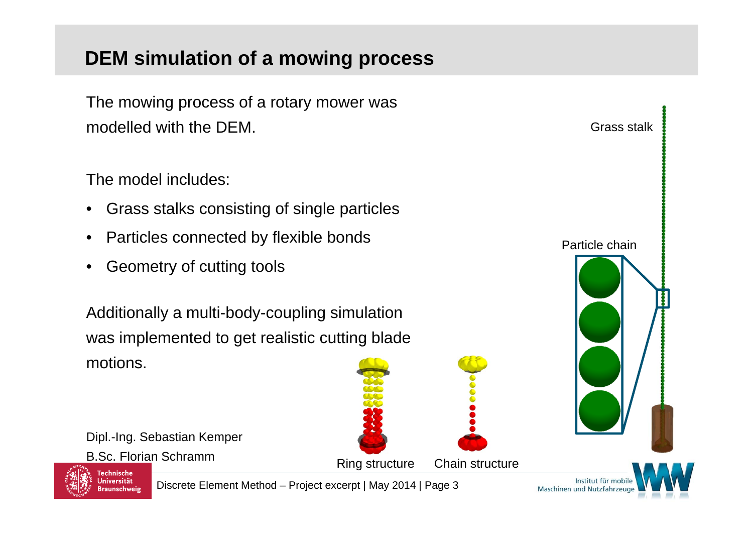# **DEM simulation of a mowing process**

The mowing process of a rotary mower was modelled with the DEM.

The model includes:

- •Grass stalks consisting of single particles
- •Particles connected by flexible bonds
- •Geometry of cutting tools

Additionally a multi-body-coupling simulation was implemented to get realistic cutting blade motions.

Dipl.-Ing. Sebastian Kemper

B.Sc. Florian Schramm





Grass stalk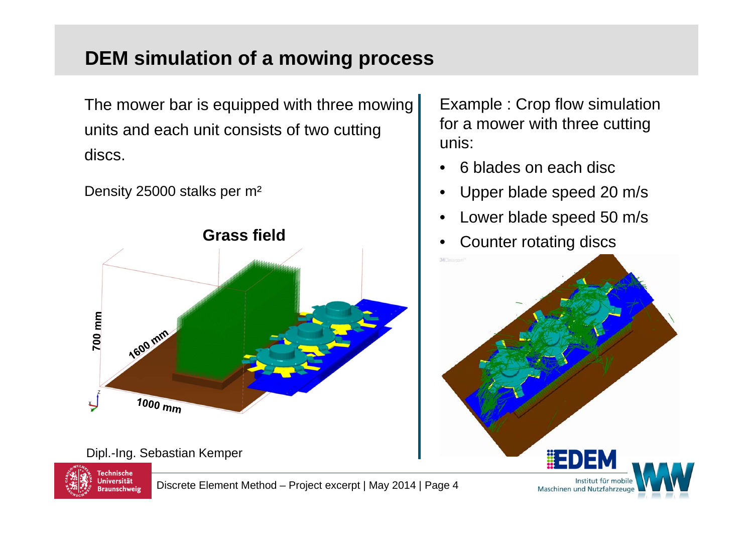## **DEM simulation of a mowing process**

The mower bar is equipped with three mowing units and each unit consists of two cutting discs.

Density 25000 stalks per m²



Dipl.-Ing. Sebastian Kemper



Discrete Element Method – Project excerpt | May 2014 | Page 4

Example : Crop flow simulation for a mower with three cutting unis:

- •6 blades on each disc
- •Upper blade speed 20 m/s
- •Lower blade speed 50 m/s
- •Counter rotating discs

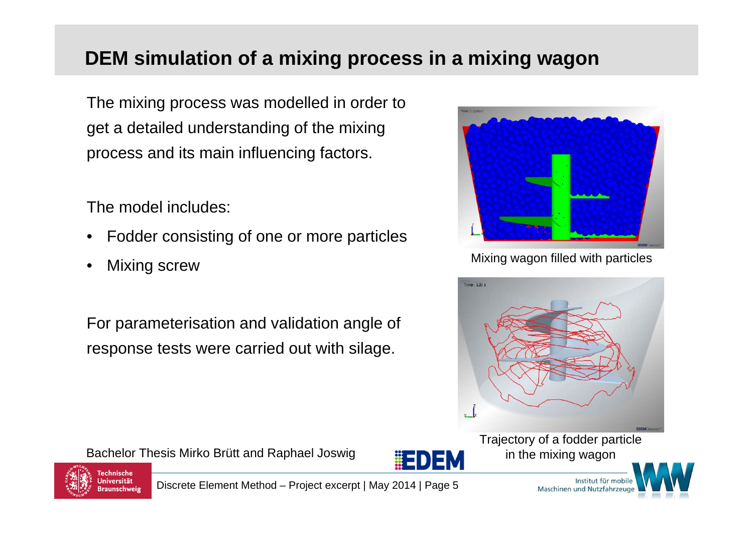## **DEM simulation of a mixing process in a mixing wagon**

The mixing process was modelled in order to get a detailed understanding of the mixing process and its main influencing factors.

The model includes:

- •Fodder consisting of one or more particles
- •Mixing screw

For parameterisation and validation angle of response tests were carried out with silage.

Bachelor Thesis Mirko Brütt and Raphael Joswig



Mixing wagon filled with particles



Trajectory of a fodder particle in the mixing wagon



Technische Jniversität **Braunschweig** 

Discrete Element Method – Project excerpt | May 2014 | Page 5

Institut für Maschinen und Nutzfahrzeu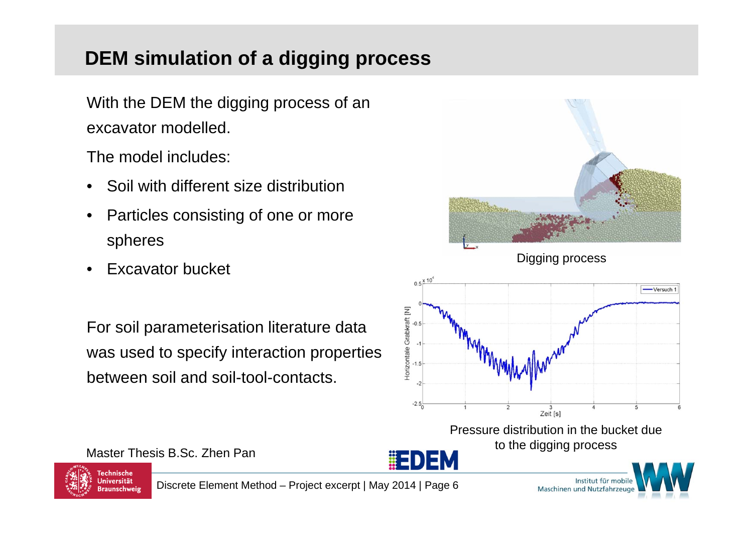# **DEM simulation of a digging process**

With the DEM the digging process of an excavator modelled.

The model includes:

- •Soil with different size distribution
- • Particles consisting of one or more spheres
- •Excavator bucket

For soil parameterisation literature data was used to specify interaction properties between soil and soil-tool-contacts.



Master Thesis B.Sc. Zhen PanTechnische

Jniversität

**Braunschweig** 





Discrete Element Method – Project excerpt | May 2014 | Page 6